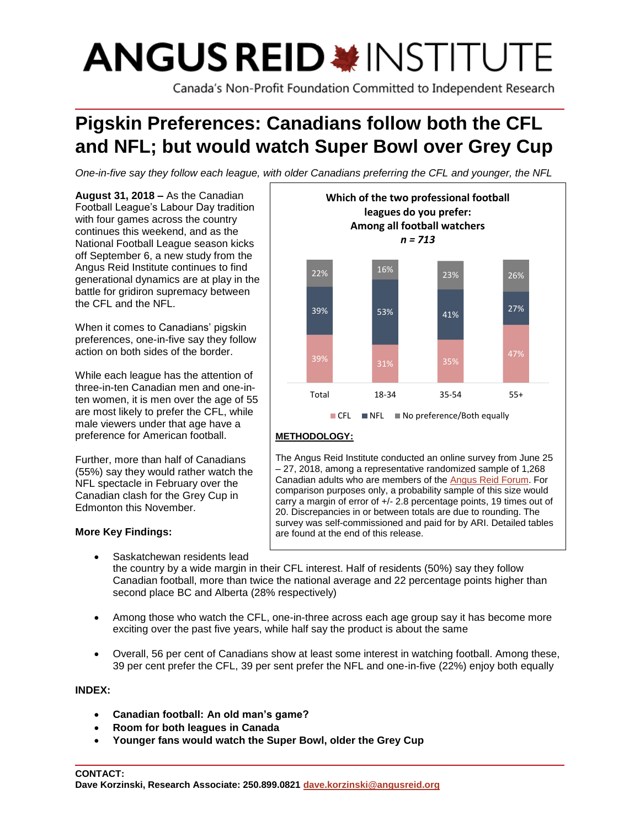# **ANGUS REID \*INSTITUTE**

Canada's Non-Profit Foundation Committed to Independent Research

# **Pigskin Preferences: Canadians follow both the CFL and NFL; but would watch Super Bowl over Grey Cup**

*One-in-five say they follow each league, with older Canadians preferring the CFL and younger, the NFL*

**August 31, 2018 –** As the Canadian Football League's Labour Day tradition with four games across the country continues this weekend, and as the National Football League season kicks off September 6, a new study from the Angus Reid Institute continues to find generational dynamics are at play in the battle for gridiron supremacy between the CFL and the NFL.

When it comes to Canadians' pigskin preferences, one-in-five say they follow action on both sides of the border.

While each league has the attention of three-in-ten Canadian men and one-inten women, it is men over the age of 55 are most likely to prefer the CFL, while male viewers under that age have a preference for American football.

Further, more than half of Canadians (55%) say they would rather watch the NFL spectacle in February over the Canadian clash for the Grey Cup in Edmonton this November.

# **More Key Findings:**

Saskatchewan residents lead



# **METHODOLOGY:**

The Angus Reid Institute conducted an online survey from June 25 – 27, 2018, among a representative randomized sample of 1,268 Canadian adults who are members of th[e Angus Reid Forum.](http://www.angusreidforum.com/) For comparison purposes only, a probability sample of this size would carry a margin of error of +/- 2.8 percentage points, 19 times out of 20. Discrepancies in or between totals are due to rounding. The survey was self-commissioned and paid for by ARI. Detailed tables are found at the end of this release.

the country by a wide margin in their CFL interest. Half of residents (50%) say they follow Canadian football, more than twice the national average and 22 percentage points higher than second place BC and Alberta (28% respectively)

- Among those who watch the CFL, one-in-three across each age group say it has become more exciting over the past five years, while half say the product is about the same
- Overall, 56 per cent of Canadians show at least some interest in watching football. Among these, 39 per cent prefer the CFL, 39 per sent prefer the NFL and one-in-five (22%) enjoy both equally

# **INDEX:**

- **Canadian football: An old man's game?**
- **Room for both leagues in Canada**
- **Younger fans would watch the Super Bowl, older the Grey Cup**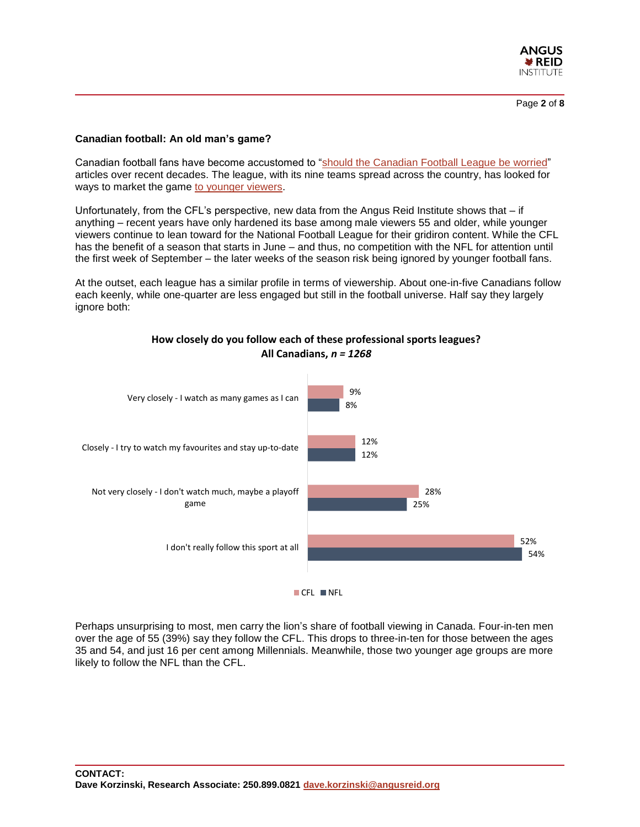

#### **Canadian football: An old man's game?**

Canadian football fans have become accustomed to ["should the Canadian Football League](https://nationalpost.com/sports/football/cfl/attendance-is-down-and-few-millennials-are-watching-so-should-the-cfl-be-worried) be worried" articles over recent decades. The league, with its nine teams spread across the country, has looked for ways to market the game [to younger viewers.](https://nationalpost.com/sports/football/cfl/concerts-more-kate-beirness-tsn-opts-for-younger-look-on-thursday-cfl-telecasts)

Unfortunately, from the CFL's perspective, new data from the Angus Reid Institute shows that – if anything – recent years have only hardened its base among male viewers 55 and older, while younger viewers continue to lean toward for the National Football League for their gridiron content. While the CFL has the benefit of a season that starts in June – and thus, no competition with the NFL for attention until the first week of September – the later weeks of the season risk being ignored by younger football fans.

At the outset, each league has a similar profile in terms of viewership. About one-in-five Canadians follow each keenly, while one-quarter are less engaged but still in the football universe. Half say they largely ignore both:



**How closely do you follow each of these professional sports leagues?**

**All Canadians,** *n = 1268*

Perhaps unsurprising to most, men carry the lion's share of football viewing in Canada. Four-in-ten men over the age of 55 (39%) say they follow the CFL. This drops to three-in-ten for those between the ages 35 and 54, and just 16 per cent among Millennials. Meanwhile, those two younger age groups are more likely to follow the NFL than the CFL.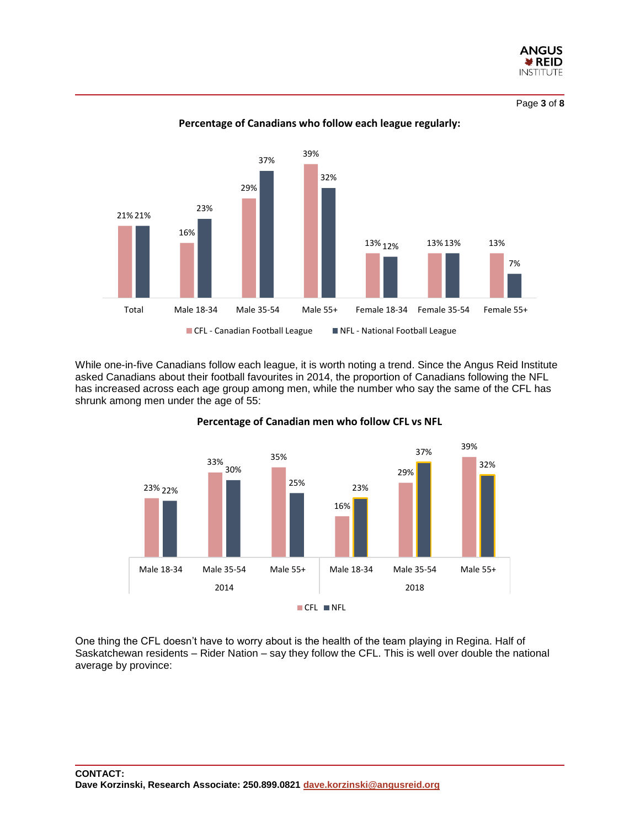

Page **3** of **8**



**Percentage of Canadians who follow each league regularly:**

While one-in-five Canadians follow each league, it is worth noting a trend. Since the Angus Reid Institute asked Canadians about their football favourites in 2014, the proportion of Canadians following the NFL has increased across each age group among men, while the number who say the same of the CFL has shrunk among men under the age of 55:



#### **Percentage of Canadian men who follow CFL vs NFL**

One thing the CFL doesn't have to worry about is the health of the team playing in Regina. Half of Saskatchewan residents – Rider Nation – say they follow the CFL. This is well over double the national average by province: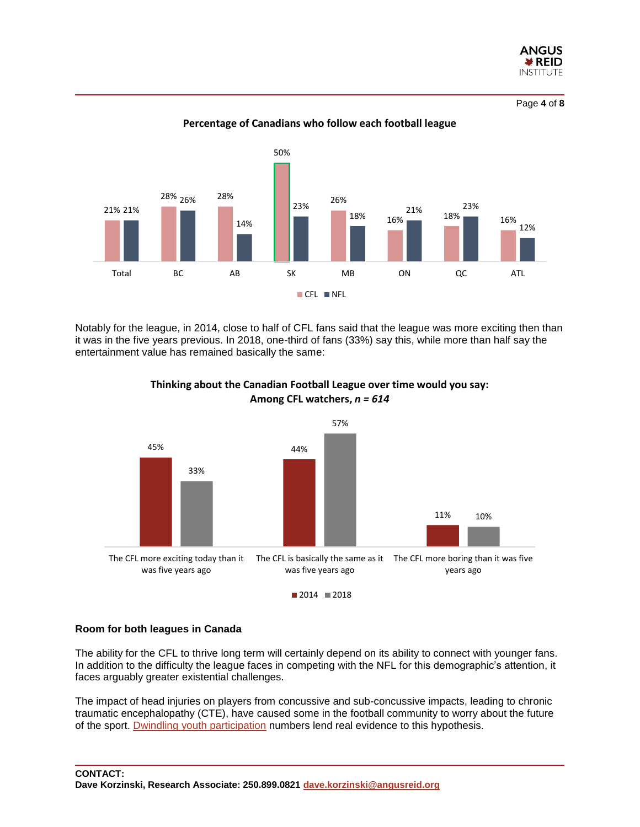

Page **4** of **8**



**Percentage of Canadians who follow each football league**

Notably for the league, in 2014, close to half of CFL fans said that the league was more exciting then than it was in the five years previous. In 2018, one-third of fans (33%) say this, while more than half say the entertainment value has remained basically the same:



#### **Thinking about the Canadian Football League over time would you say: Among CFL watchers,** *n = 614*

#### **Room for both leagues in Canada**

The ability for the CFL to thrive long term will certainly depend on its ability to connect with younger fans. In addition to the difficulty the league faces in competing with the NFL for this demographic's attention, it faces arguably greater existential challenges.

The impact of head injuries on players from concussive and sub-concussive impacts, leading to chronic traumatic encephalopathy (CTE), have caused some in the football community to worry about the future of the sport. [Dwindling youth participation](https://www.reuters.com/article/us-health-kids-tackle-football/fewer-u-s-high-school-athletes-play-football-amid-concussion-fears-idUSKCN1GO2LY) numbers lend real evidence to this hypothesis.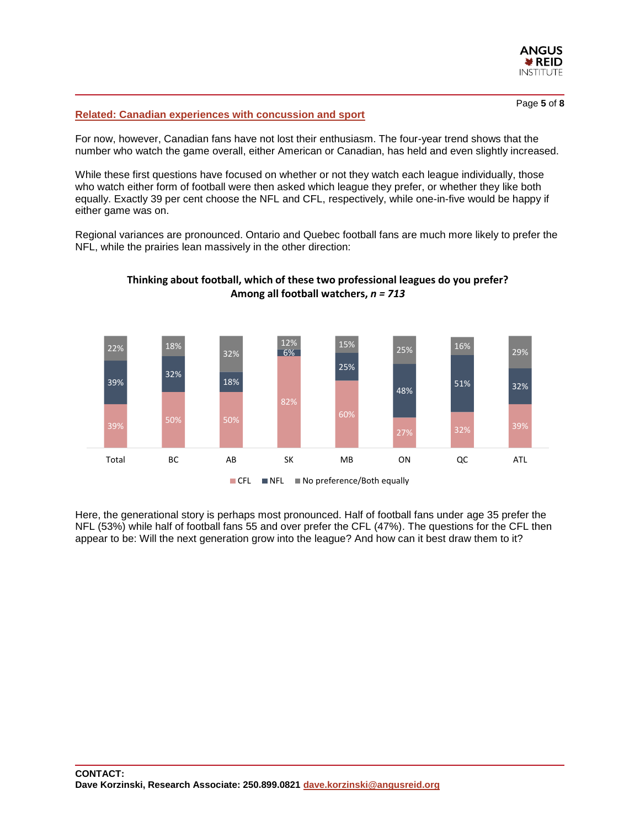

#### Page **5** of **8**

#### **[Related: Canadian experiences with concussion and sport](http://www.angusreid.org/concussion-in-sport)**

For now, however, Canadian fans have not lost their enthusiasm. The four-year trend shows that the number who watch the game overall, either American or Canadian, has held and even slightly increased.

While these first questions have focused on whether or not they watch each league individually, those who watch either form of football were then asked which league they prefer, or whether they like both equally. Exactly 39 per cent choose the NFL and CFL, respectively, while one-in-five would be happy if either game was on.

Regional variances are pronounced. Ontario and Quebec football fans are much more likely to prefer the NFL, while the prairies lean massively in the other direction:



#### **Thinking about football, which of these two professional leagues do you prefer? Among all football watchers,** *n = 713*

■ CFL ■ NFL ■ No preference/Both equally

Here, the generational story is perhaps most pronounced. Half of football fans under age 35 prefer the NFL (53%) while half of football fans 55 and over prefer the CFL (47%). The questions for the CFL then appear to be: Will the next generation grow into the league? And how can it best draw them to it?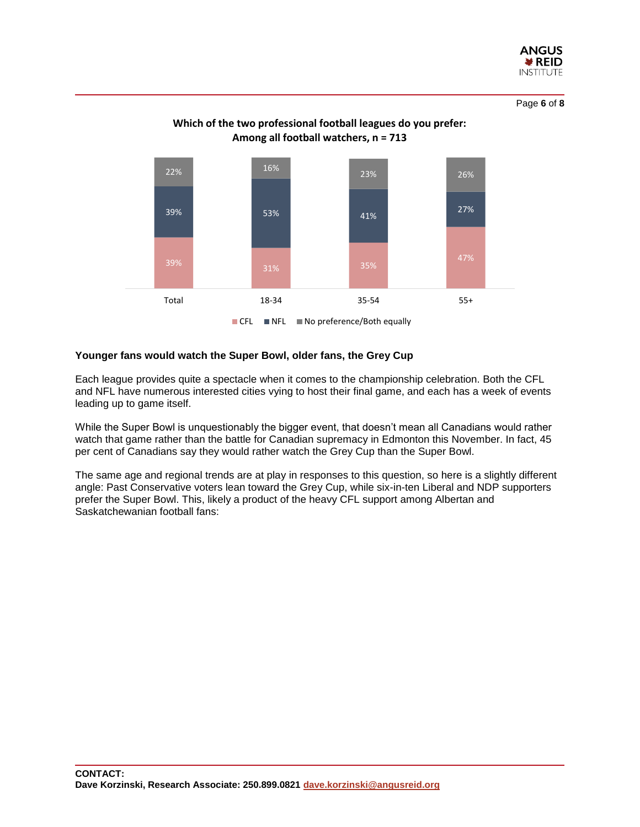

Page **6** of **8**





#### **Younger fans would watch the Super Bowl, older fans, the Grey Cup**

Each league provides quite a spectacle when it comes to the championship celebration. Both the CFL and NFL have numerous interested cities vying to host their final game, and each has a week of events leading up to game itself.

While the Super Bowl is unquestionably the bigger event, that doesn't mean all Canadians would rather watch that game rather than the battle for Canadian supremacy in Edmonton this November. In fact, 45 per cent of Canadians say they would rather watch the Grey Cup than the Super Bowl.

The same age and regional trends are at play in responses to this question, so here is a slightly different angle: Past Conservative voters lean toward the Grey Cup, while six-in-ten Liberal and NDP supporters prefer the Super Bowl. This, likely a product of the heavy CFL support among Albertan and Saskatchewanian football fans: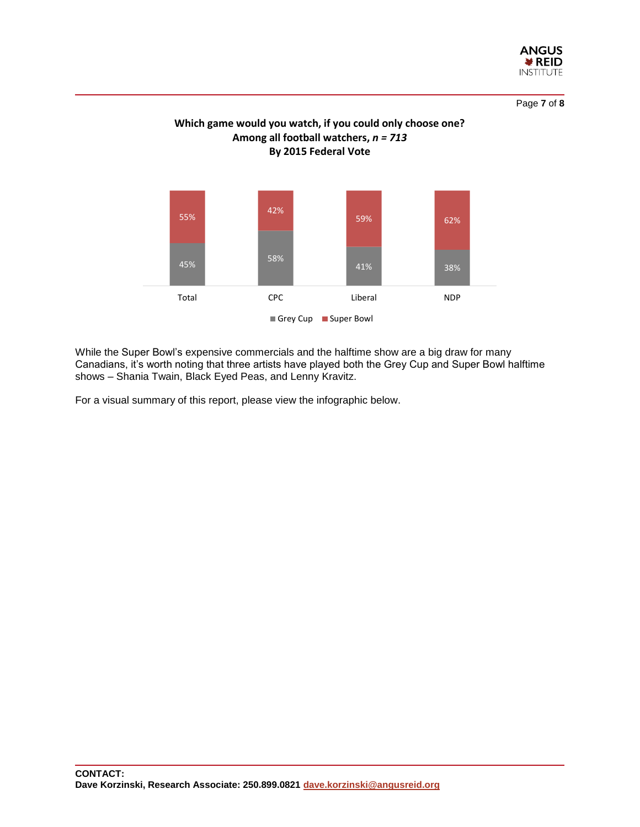

Page **7** of **8**





While the Super Bowl's expensive commercials and the halftime show are a big draw for many Canadians, it's worth noting that three artists have played both the Grey Cup and Super Bowl halftime shows – Shania Twain, Black Eyed Peas, and Lenny Kravitz.

For a visual summary of this report, please view the infographic below.